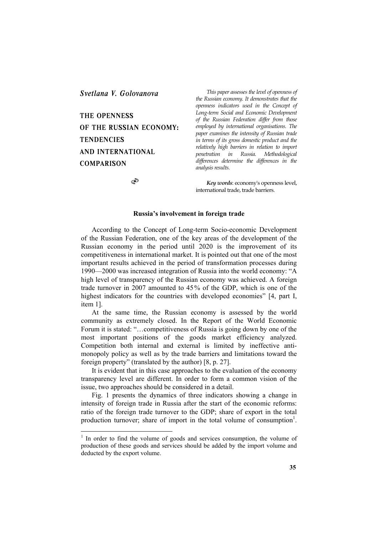*Svetlana V. Golovanova* 

# **THE OPENNESS OF THE RUSSIAN ECONOMY: TENDENCIES AND INTERNATIONAL COMPARISON**

 $\circledcirc$ 

 $\overline{a}$ 

*This paper assesses the level of openness of the Russian economy. It demonstrates that the openness indicators used in the Concept of Long-term Social and Economic Development of the Russian Federation differ from those employed by international organisations. The paper examines the intensity of Russian trade in terms of its gross domestic product and the relatively high barriers in relation to import penetration in differences determine the differences in the analysis results.*

*Key words*: economy's openness level, international trade, trade barriers.

# **Russia's involvement in foreign trade**

According to the Concept of Long-term Socio-economic Development of the Russian Federation, one of the key areas of the development of the Russian economy in the period until 2020 is the improvement of its competitiveness in international market. It is pointed out that one of the most important results achieved in the period of transformation processes during 1990—2000 was increased integration of Russia into the world economy: "A high level of transparency of the Russian economy was achieved. A foreign trade turnover in 2007 amounted to 45% of the GDP, which is one of the highest indicators for the countries with developed economies" [4, part I, item 1].

At the same time, the Russian economy is assessed by the world community as extremely closed. In the Report of the World Economic Forum it is stated: "...competitiveness of Russia is going down by one of the most important positions of the goods market efficiency analyzed. Competition both internal and external is limited by ineffective antimonopoly policy as well as by the trade barriers and limitations toward the foreign property" (translated by the author) [8, р. 27].

It is evident that in this case approaches to the evaluation of the economy transparency level are different. In order to form a common vision of the issue, two approaches should be considered in a detail.

Fig. 1 presents the dynamics of three indicators showing a change in intensity of foreign trade in Russia after the start of the economic reforms: ratio of the foreign trade turnover to the GDP; share of export in the total production turnover; share of import in the total volume of consumption<sup>1</sup>.

<sup>&</sup>lt;sup>1</sup> In order to find the volume of goods and services consumption, the volume of production of these goods and services should be added by the import volume and deducted by the export volume.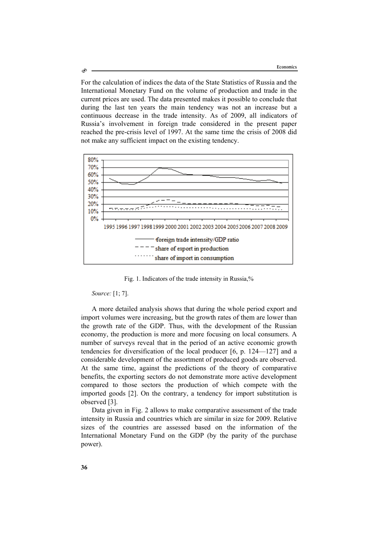For the calculation of indices the data of the State Statistics of Russia and the International Monetary Fund on the volume of production and trade in the current prices are used. The data presented makes it possible to conclude that during the last ten years the main tendency was not an increase but a continuous decrease in the trade intensity. As of 2009, all indicators of Russia's involvement in foreign trade considered in the present paper reached the pre-crisis level of 1997. At the same time the crisis of 2008 did not make any sufficient impact on the existing tendency.



Fig. 1. Indicators of the trade intensity in Russia,%

## *Source:* [1; 7].

A more detailed analysis shows that during the whole period export and import volumes were increasing, but the growth rates of them are lower than the growth rate of the GDP. Thus, with the development of the Russian economy, the production is more and more focusing on local consumers. A number of surveys reveal that in the period of an active economic growth tendencies for diversification of the local producer [6, p. 124—127] and a considerable development of the assortment of produced goods are observed. At the same time, against the predictions of the theory of comparative benefits, the exporting sectors do not demonstrate more active development compared to those sectors the production of which compete with the imported goods [2]. On the contrary, a tendency for import substitution is observed [3].

Data given in Fig. 2 allows to make comparative assessment of the trade intensity in Russia and countries which are similar in size for 2009. Relative sizes of the countries are assessed based on the information of the International Monetary Fund on the GDP (by the parity of the purchase power).

Ò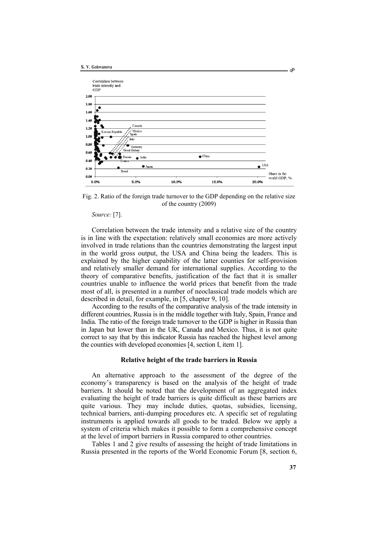

Fig. 2. Ratio of the foreign trade turnover to the GDP depending on the relative size of the country (2009)

*Source:* [7].

Correlation between the trade intensity and a relative size of the country is in line with the expectation: relatively small economies are more actively involved in trade relations than the countries demonstrating the largest input in the world gross output, the USA and China being the leaders. This is explained by the higher capability of the latter counties for self-provision and relatively smaller demand for international supplies. According to the theory of comparative benefits, justification of the fact that it is smaller countries unable to influence the world prices that benefit from the trade most of all, is presented in a number of neoclassical trade models which are described in detail, for example, in [5, chapter 9, 10].

According to the results of the comparative analysis of the trade intensity in different countries, Russia is in the middle together with Italy, Spain, France and India. The ratio of the foreign trade turnover to the GDP is higher in Russia than in Japan but lower than in the UK, Canada and Mexico. Thus, it is not quite correct to say that by this indicator Russia has reached the highest level among the counties with developed economies [4, section I, item 1].

#### **Relative height of the trade barriers in Russia**

An alternative approach to the assessment of the degree of the economy's transparency is based on the analysis of the height of trade barriers. It should be noted that the development of an aggregated index evaluating the height of trade barriers is quite difficult as these barriers are quite various. They may include duties, quotas, subsidies, licensing, technical barriers, anti-dumping procedures etc. A specific set of regulating instruments is applied towards all goods to be traded. Below we apply a system of criteria which makes it possible to form a comprehensive concept at the level of import barriers in Russia compared to other countries.

Tables 1 and 2 give results of assessing the height of trade limitations in Russia presented in the reports of the World Economic Forum [8, section 6,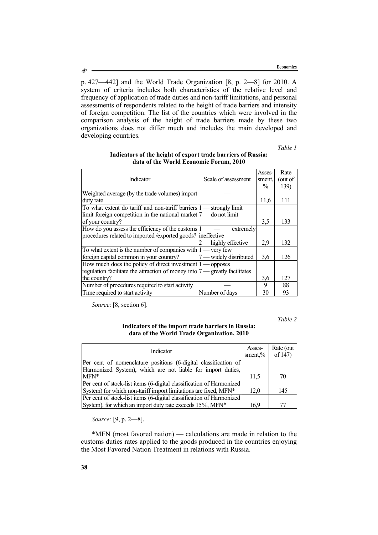р. 427—442] and the World Trade Organization [8, р. 2—8] for 2010. A system of criteria includes both characteristics of the relative level and frequency of application of trade duties and non-tariff limitations, and personal assessments of respondents related to the height of trade barriers and intensity of foreign competition. The list of the countries which were involved in the comparison analysis of the height of trade barriers made by these two organizations does not differ much and includes the main developed and developing countries.

*Table 1* 

|                                                                             |                           | Asses-        | Rate    |
|-----------------------------------------------------------------------------|---------------------------|---------------|---------|
| Indicator                                                                   | Scale of assessment       | sment.        | (out of |
|                                                                             |                           | $\frac{0}{0}$ | 139)    |
| Weighted average (by the trade volumes) import                              |                           |               |         |
| duty rate                                                                   |                           | 11,6          | 111     |
| To what extent do tariff and non-tariff barriers $1$ — strongly limit       |                           |               |         |
| limit foreign competition in the national market $7$ — do not limit         |                           |               |         |
| of your country?                                                            |                           | 3,5           | 133     |
| How do you assess the efficiency of the customs 1                           | extremely                 |               |         |
| procedures related to imported /exported goods? ineffective                 |                           |               |         |
|                                                                             | $2$ — highly effective    | 2,9           | 132     |
| To what extent is the number of companies with $1$ — very few               |                           |               |         |
| foreign capital common in your country?                                     | $17$ — widely distributed | 3.6           | 126     |
| How much does the policy of direct investment $1$ — opposes                 |                           |               |         |
| regulation facilitate the attraction of money into  7 — greatly facilitates |                           |               |         |
| the country?                                                                |                           | 3,6           | 127     |
| Number of procedures required to start activity                             |                           | 9             | 88      |
| Time required to start activity                                             | Number of days            | 30            | 93      |

## **Indicators of the height of export trade barriers of Russia: data of the World Economic Forum, 2010**

*Source*: [8, section 6].

*Table 2* 

## **Indicators of the import trade barriers in Russia: data of the World Trade Organization, 2010**

| Indicator                                                            |      | Rate (out<br>of 147) |
|----------------------------------------------------------------------|------|----------------------|
| Per cent of nomenclature positions (6-digital classification of      |      |                      |
| Harmonized System), which are not liable for import duties,          |      |                      |
| $MFN^*$                                                              | 11.5 | 70                   |
| Per cent of stock-list items (6-digital classification of Harmonized |      |                      |
| System) for which non-tariff import limitations are fixed, MFN*      | 12.0 | 145                  |
| Per cent of stock-list items (6-digital classification of Harmonized |      |                      |
| System), for which an import duty rate exceeds 15%, MFN*             | 16.9 | 77                   |

*Source:* [9, р. 2—8].

\*MFN (most favored nation) — calculations are made in relation to the customs duties rates applied to the goods produced in the countries enjoying the Most Favored Nation Treatment in relations with Russia.

Ò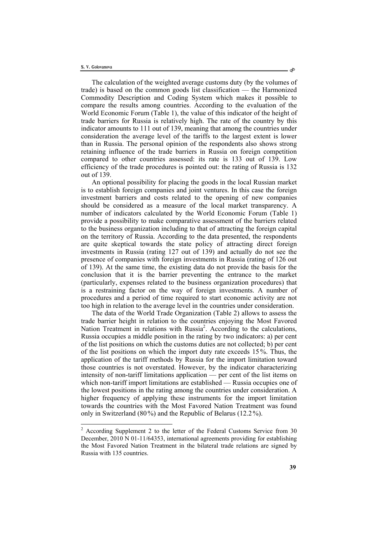The calculation of the weighted average customs duty (by the volumes of trade) is based on the common goods list classification — the Harmonized Commodity Description and Coding System which makes it possible to compare the results among countries. According to the evaluation of the World Economic Forum (Table 1), the value of this indicator of the height of trade barriers for Russia is relatively high. The rate of the country by this indicator amounts to 111 out of 139, meaning that among the countries under consideration the average level of the tariffs to the largest extent is lower than in Russia. The personal opinion of the respondents also shows strong retaining influence of the trade barriers in Russia on foreign competition compared to other countries assessed: its rate is 133 out of 139. Low efficiency of the trade procedures is pointed out: the rating of Russia is 132 out of 139.

An optional possibility for placing the goods in the local Russian market is to establish foreign companies and joint ventures. In this case the foreign investment barriers and costs related to the opening of new companies should be considered as a measure of the local market transparency. A number of indicators calculated by the World Economic Forum (Table 1) provide a possibility to make comparative assessment of the barriers related to the business organization including to that of attracting the foreign capital on the territory of Russia. According to the data presented, the respondents are quite skeptical towards the state policy of attracting direct foreign investments in Russia (rating 127 out of 139) and actually do not see the presence of companies with foreign investments in Russia (rating of 126 out of 139). At the same time, the existing data do not provide the basis for the conclusion that it is the barrier preventing the entrance to the market (particularly, expenses related to the business organization procedures) that is a restraining factor on the way of foreign investments. A number of procedures and a period of time required to start economic activity are not too high in relation to the average level in the countries under consideration.

The data of the World Trade Organization (Table 2) allows to assess the trade barrier height in relation to the countries enjoying the Most Favored Nation Treatment in relations with Russia<sup>2</sup>. According to the calculations, Russia occupies a middle position in the rating by two indicators: а) per cent of the list positions on which the customs duties are not collected; b) per cent of the list positions on which the import duty rate exceeds 15 %. Thus, the application of the tariff methods by Russia for the import limitation toward those countries is not overstated. However, by the indicator characterizing intensity of non-tariff limitations application — per cent of the list items on which non-tariff import limitations are established — Russia occupies one of the lowest positions in the rating among the countries under consideration. A higher frequency of applying these instruments for the import limitation towards the countries with the Most Favored Nation Treatment was found only in Switzerland (80%) and the Republic of Belarus (12.2%).

<sup>&</sup>lt;sup>2</sup> According Supplement 2 to the letter of the Federal Customs Service from 30 December, 2010 N 01-11/64353, international agreements providing for establishing the Most Favored Nation Treatment in the bilateral trade relations are signed by Russia with 135 countries.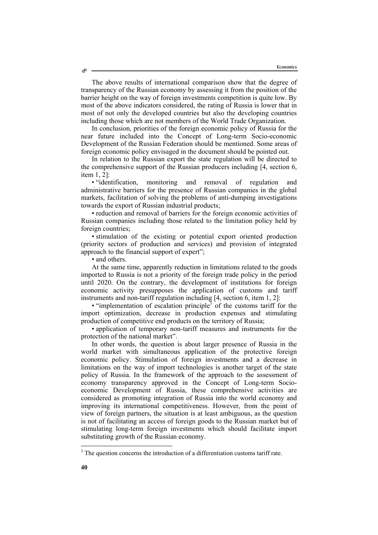The above results of international comparison show that the degree of transparency of the Russian economy by assessing it from the position of the barrier height on the way of foreign investments competition is quite low. By most of the above indicators considered, the rating of Russia is lower that in most of not only the developed countries but also the developing countries including those which are not members of the World Trade Organization.

In conclusion, priorities of the foreign economic policy of Russia for the near future included into the Concept of Long-term Socio-economic Development of the Russian Federation should be mentioned. Some areas of foreign economic policy envisaged in the document should be pointed out.

In relation to the Russian export the state regulation will be directed to the comprehensive support of the Russian producers including [4, section 6, item 1, 2]:

• "identification, monitoring and removal of regulation and administrative barriers for the presence of Russian companies in the global markets, facilitation of solving the problems of anti-dumping investigations towards the export of Russian industrial products;

• reduction and removal of barriers for the foreign economic activities of Russian companies including those related to the limitation policy held by foreign countries;

• stimulation of the existing or potential export oriented production (priority sectors of production and services) and provision of integrated approach to the financial support of expert";

• and others.

Ò

At the same time, apparently reduction in limitations related to the goods imported to Russia is not a priority of the foreign trade policy in the period until 2020. On the contrary, the development of institutions for foreign economic activity presupposes the application of customs and tariff instruments and non-tariff regulation including [4, section 6, item 1, 2]:

 $\bullet$  "implementation of escalation principle<sup>3</sup> of the customs tariff for the import optimization, decrease in production expenses and stimulating production of competitive end products on the territory of Russia;

• application of temporary non-tariff measures and instruments for the protection of the national market".

In other words, the question is about larger presence of Russia in the world market with simultaneous application of the protective foreign economic policy. Stimulation of foreign investments and a decrease in limitations on the way of import technologies is another target of the state policy of Russia. In the framework of the approach to the assessment of economy transparency approved in the Concept of Long-term Socioeconomic Development of Russia, these comprehensive activities are considered as promoting integration of Russia into the world economy and improving its international competitiveness. However, from the point of view of foreign partners, the situation is at least ambiguous, as the question is not of facilitating an access of foreign goods to the Russian market but of stimulating long-term foreign investments which should facilitate import substituting growth of the Russian economy.

l

 $3$  The question concerns the introduction of a differentiation customs tariff rate.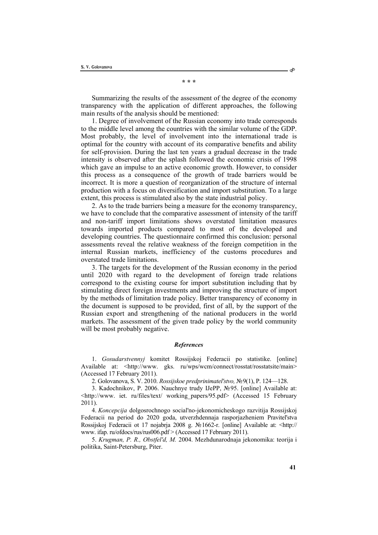**\* \* \*** 

Summarizing the results of the assessment of the degree of the economy transparency with the application of different approaches, the following main results of the analysis should be mentioned:

1. Degree of involvement of the Russian economy into trade corresponds to the middle level among the countries with the similar volume of the GDP. Most probably, the level of involvement into the international trade is optimal for the country with account of its comparative benefits and ability for self-provision. During the last ten years a gradual decrease in the trade intensity is observed after the splash followed the economic crisis of 1998 which gave an impulse to an active economic growth. However, to consider this process as a consequence of the growth of trade barriers would be incorrect. It is more a question of reorganization of the structure of internal production with a focus on diversification and import substitution. To a large extent, this process is stimulated also by the state industrial policy.

2. As to the trade barriers being a measure for the economy transparency, we have to conclude that the comparative assessment of intensity of the tariff and non-tariff import limitations shows overstated limitation measures towards imported products compared to most of the developed and developing countries. The questionnaire confirmed this conclusion: personal assessments reveal the relative weakness of the foreign competition in the internal Russian markets, inefficiency of the customs procedures and overstated trade limitations.

3. The targets for the development of the Russian economy in the period until 2020 with regard to the development of foreign trade relations correspond to the existing course for import substitution including that by stimulating direct foreign investments and improving the structure of import by the methods of limitation trade policy. Better transparency of economy in the document is supposed to be provided, first of all, by the support of the Russian export and strengthening of the national producers in the world markets. The assessment of the given trade policy by the world community will be most probably negative.

## *References*

1. *Gosudarstvennyj* komitet Rossijskoj Federacii po statistike. [online] Available at: <http://www. gks. ru/wps/wcm/connect/rosstat/rosstatsite/main> (Accessed 17 February 2011).

2. Golovanova, S. V. 2010. *Rossijskoe predprinimatel'stvo,* №9(1), P. 124—128.

3. Kadochnikov, P. 2006. Nauchnye trudy IJePP, №95. [online] Available at: <http://www. iet. ru/files/text/ working\_papers/95.pdf> (Accessed 15 February 2011).

4. *Koncepcija* dolgosrochnogo social'no-jekonomicheskogo razvitija Rossijskoj Federacii na period do 2020 goda, utverzhdennaja rasporjazheniem Pravitel'stva Rossijskoj Federacii ot 17 nojabrja 2008 g. №1662-r. [online] Available at: <http:// www. ifap. ru/ofdocs/rus/rus006.pdf > (Accessed 17 February 2011).

5. *Krugman, P. R., Obstfel'd, M.* 2004. Mezhdunarodnaja jekonomika: teorija i politika, Saint-Petersburg, Piter.

 $\circ$